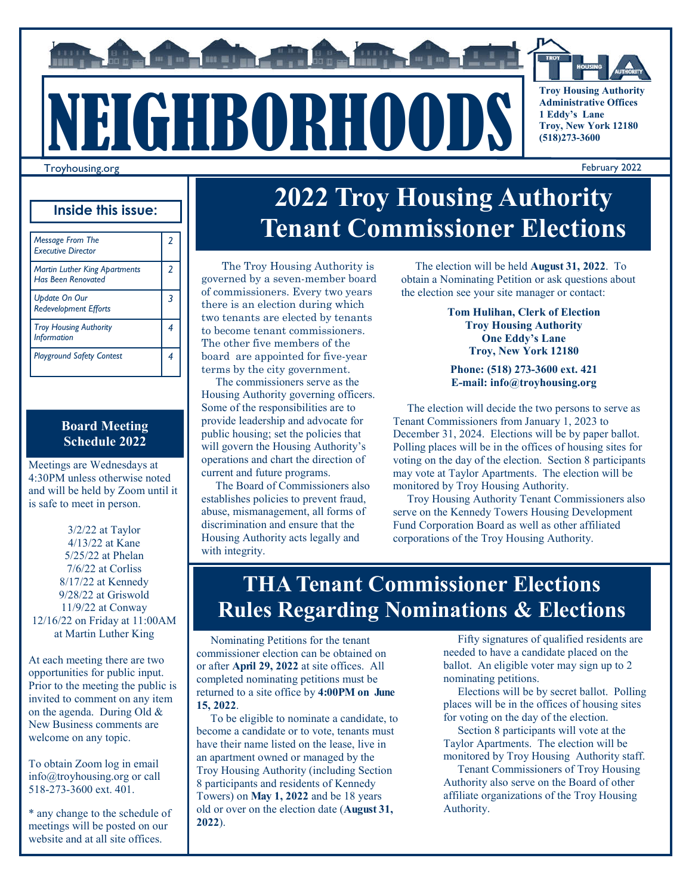# Troyhousing.org NEIGHBORHOODS

**THE MELTING** 



**Troy Housing Authority Administrative Offices 1 Eddy's Lane Troy, New York 12180 (518)273-3600**

February 2022

#### **Inside this issue:**

| <b>Message From The</b><br><b>Executive Director</b>              | 2 |
|-------------------------------------------------------------------|---|
| <b>Martin Luther King Apartments</b><br><b>Has Been Renovated</b> | 2 |
| <b>Update On Our</b><br><b>Redevelopment Efforts</b>              |   |
| <b>Troy Housing Authority</b><br><b>Information</b>               |   |
| <b>Playground Safety Contest</b>                                  |   |

#### **Board Meeting Schedule 2022**

Meetings are Wednesdays at 4:30PM unless otherwise noted and will be held by Zoom until it is safe to meet in person.

3/2/22 at Taylor 4/13/22 at Kane 5/25/22 at Phelan 7/6/22 at Corliss 8/17/22 at Kennedy 9/28/22 at Griswold 11/9/22 at Conway 12/16/22 on Friday at 11:00AM at Martin Luther King

At each meeting there are two opportunities for public input. Prior to the meeting the public is invited to comment on any item on the agenda. During Old & New Business comments are welcome on any topic.

To obtain Zoom log in email info@troyhousing.org or call 518-273-3600 ext. 401.

\* any change to the schedule of meetings will be posted on our website and at all site offices.

### **2022 Troy Housing Authority Tenant Commissioner Elections**

The Troy Housing Authority is governed by a seven-member board of commissioners. Every two years there is an election during which two tenants are elected by tenants to become tenant commissioners. The other five members of the board are appointed for five-year terms by the city government.

 The commissioners serve as the Housing Authority governing officers. Some of the responsibilities are to provide leadership and advocate for public housing; set the policies that will govern the Housing Authority's operations and chart the direction of current and future programs.

 The Board of Commissioners also establishes policies to prevent fraud, abuse, mismanagement, all forms of discrimination and ensure that the Housing Authority acts legally and with integrity.

 The election will be held **August 31, 2022**. To obtain a Nominating Petition or ask questions about the election see your site manager or contact:

> **Tom Hulihan, Clerk of Election Troy Housing Authority One Eddy's Lane Troy, New York 12180**

**Phone: (518) 273-3600 ext. 421 E-mail: info@troyhousing.org** 

 The election will decide the two persons to serve as Tenant Commissioners from January 1, 2023 to December 31, 2024. Elections will be by paper ballot. Polling places will be in the offices of housing sites for voting on the day of the election. Section 8 participants may vote at Taylor Apartments. The election will be monitored by Troy Housing Authority.

 Troy Housing Authority Tenant Commissioners also serve on the Kennedy Towers Housing Development Fund Corporation Board as well as other affiliated corporations of the Troy Housing Authority.

#### **THA Tenant Commissioner Elections Rules Regarding Nominations & Elections**

 Nominating Petitions for the tenant commissioner election can be obtained on or after **April 29, 2022** at site offices. All completed nominating petitions must be returned to a site office by **4:00PM on June 15, 2022**.

 To be eligible to nominate a candidate, to become a candidate or to vote, tenants must have their name listed on the lease, live in an apartment owned or managed by the Troy Housing Authority (including Section 8 participants and residents of Kennedy Towers) on **May 1, 2022** and be 18 years old or over on the election date (**August 31, 2022**).

 Fifty signatures of qualified residents are needed to have a candidate placed on the ballot. An eligible voter may sign up to 2 nominating petitions.

 Elections will be by secret ballot. Polling places will be in the offices of housing sites for voting on the day of the election.

 Section 8 participants will vote at the Taylor Apartments. The election will be monitored by Troy Housing Authority staff.

 Tenant Commissioners of Troy Housing Authority also serve on the Board of other affiliate organizations of the Troy Housing Authority.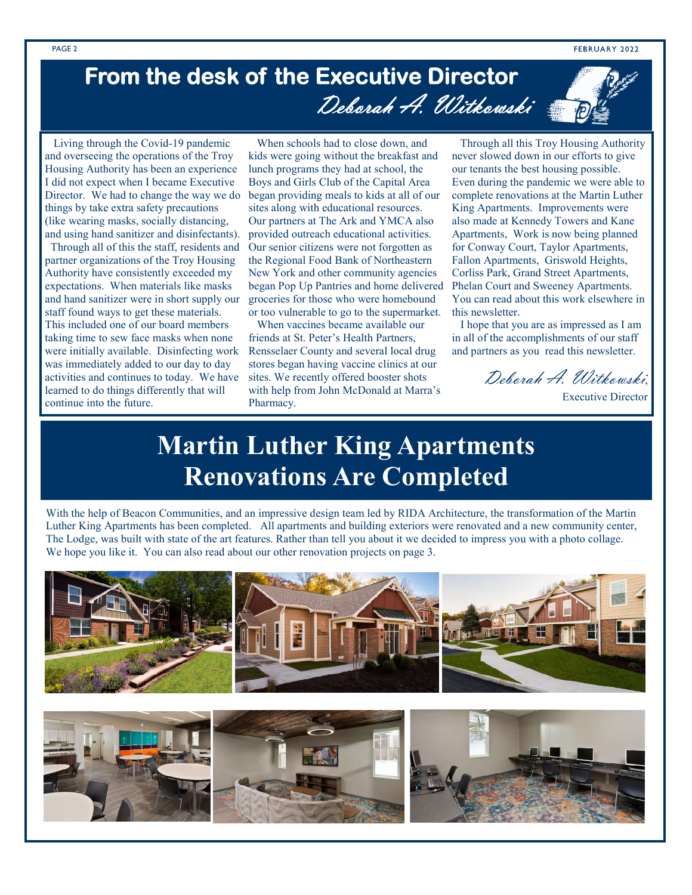FEBRUARY 2022

### **From the desk of the Executive Director**  Deborah A. Witkowski

 Living through the Covid-19 pandemic and overseeing the operations of the Troy Housing Authority has been an experience I did not expect when I became Executive Director. We had to change the way we do things by take extra safety precautions (like wearing masks, socially distancing, and using hand sanitizer and disinfectants).

 Through all of this the staff, residents and partner organizations of the Troy Housing Authority have consistently exceeded my expectations. When materials like masks and hand sanitizer were in short supply our staff found ways to get these materials. This included one of our board members taking time to sew face masks when none were initially available. Disinfecting work was immediately added to our day to day activities and continues to today. We have learned to do things differently that will continue into the future.

 When schools had to close down, and kids were going without the breakfast and lunch programs they had at school, the Boys and Girls Club of the Capital Area began providing meals to kids at all of our sites along with educational resources. Our partners at The Ark and YMCA also provided outreach educational activities. Our senior citizens were not forgotten as the Regional Food Bank of Northeastern New York and other community agencies began Pop Up Pantries and home delivered groceries for those who were homebound or too vulnerable to go to the supermarket.

 When vaccines became available our friends at St. Peter's Health Partners, Rensselaer County and several local drug stores began having vaccine clinics at our sites. We recently offered booster shots with help from John McDonald at Marra's Pharmacy.

 Through all this Troy Housing Authority never slowed down in our efforts to give our tenants the best housing possible. Even during the pandemic we were able to complete renovations at the Martin Luther King Apartments. Improvements were also made at Kennedy Towers and Kane Apartments, Work is now being planned for Conway Court, Taylor Apartments, Fallon Apartments, Griswold Heights, Corliss Park, Grand Street Apartments, Phelan Court and Sweeney Apartments. You can read about this work elsewhere in this newsletter.

 I hope that you are as impressed as I am in all of the accomplishments of our staff and partners as you read this newsletter.

Deborah A. Witkowski,

#### Executive Director

### **Martin Luther King Apartments Renovations Are Completed**

With the help of Beacon Communities, and an impressive design team led by RIDA Architecture, the transformation of the Martin Luther King Apartments has been completed. All apartments and building exteriors were renovated and a new community center, The Lodge, was built with state of the art features. Rather than tell you about it we decided to impress you with a photo collage. We hope you like it. You can also read about our other renovation projects on page 3.

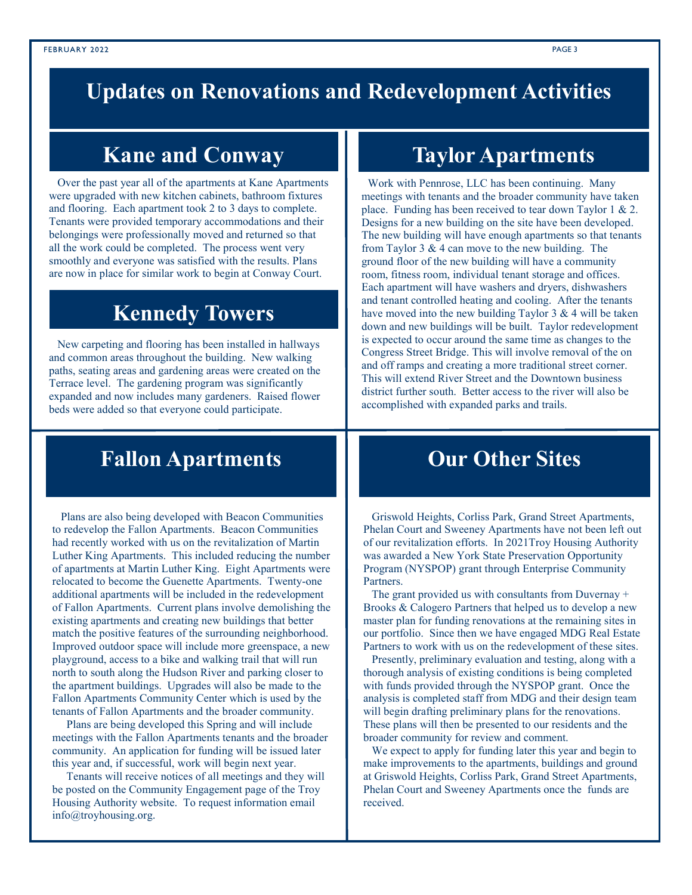#### **Updates on Renovations and Redevelopment Activities**

Over the past year all of the apartments at Kane Apartments were upgraded with new kitchen cabinets, bathroom fixtures and flooring. Each apartment took 2 to 3 days to complete. Tenants were provided temporary accommodations and their belongings were professionally moved and returned so that all the work could be completed. The process went very smoothly and everyone was satisfied with the results. Plans are now in place for similar work to begin at Conway Court.

#### **Kennedy Towers**

 New carpeting and flooring has been installed in hallways and common areas throughout the building. New walking paths, seating areas and gardening areas were created on the Terrace level. The gardening program was significantly expanded and now includes many gardeners. Raised flower beds were added so that everyone could participate.

#### **Fallon Apartments**

 Plans are also being developed with Beacon Communities to redevelop the Fallon Apartments. Beacon Communities had recently worked with us on the revitalization of Martin Luther King Apartments. This included reducing the number of apartments at Martin Luther King. Eight Apartments were relocated to become the Guenette Apartments. Twenty-one additional apartments will be included in the redevelopment of Fallon Apartments. Current plans involve demolishing the existing apartments and creating new buildings that better match the positive features of the surrounding neighborhood. Improved outdoor space will include more greenspace, a new playground, access to a bike and walking trail that will run north to south along the Hudson River and parking closer to the apartment buildings. Upgrades will also be made to the Fallon Apartments Community Center which is used by the tenants of Fallon Apartments and the broader community.

 Plans are being developed this Spring and will include meetings with the Fallon Apartments tenants and the broader community. An application for funding will be issued later this year and, if successful, work will begin next year.

 Tenants will receive notices of all meetings and they will be posted on the Community Engagement page of the Troy Housing Authority website. To request information email info@troyhousing.org.

#### **Kane and Conway Taylor Apartments**

 Work with Pennrose, LLC has been continuing. Many meetings with tenants and the broader community have taken place. Funding has been received to tear down Taylor 1  $& 2$ . Designs for a new building on the site have been developed. The new building will have enough apartments so that tenants from Taylor  $3 \& 4$  can move to the new building. The ground floor of the new building will have a community room, fitness room, individual tenant storage and offices. Each apartment will have washers and dryers, dishwashers and tenant controlled heating and cooling. After the tenants have moved into the new building Taylor  $3 \& 4$  will be taken down and new buildings will be built. Taylor redevelopment is expected to occur around the same time as changes to the Congress Street Bridge. This will involve removal of the on and off ramps and creating a more traditional street corner. This will extend River Street and the Downtown business district further south. Better access to the river will also be accomplished with expanded parks and trails.

#### **Our Other Sites**

 Griswold Heights, Corliss Park, Grand Street Apartments, Phelan Court and Sweeney Apartments have not been left out of our revitalization efforts. In 2021Troy Housing Authority was awarded a New York State Preservation Opportunity Program (NYSPOP) grant through Enterprise Community Partners.

 The grant provided us with consultants from Duvernay + Brooks & Calogero Partners that helped us to develop a new master plan for funding renovations at the remaining sites in our portfolio. Since then we have engaged MDG Real Estate Partners to work with us on the redevelopment of these sites.

 Presently, preliminary evaluation and testing, along with a thorough analysis of existing conditions is being completed with funds provided through the NYSPOP grant. Once the analysis is completed staff from MDG and their design team will begin drafting preliminary plans for the renovations. These plans will then be presented to our residents and the broader community for review and comment.

 We expect to apply for funding later this year and begin to make improvements to the apartments, buildings and ground at Griswold Heights, Corliss Park, Grand Street Apartments, Phelan Court and Sweeney Apartments once the funds are received.